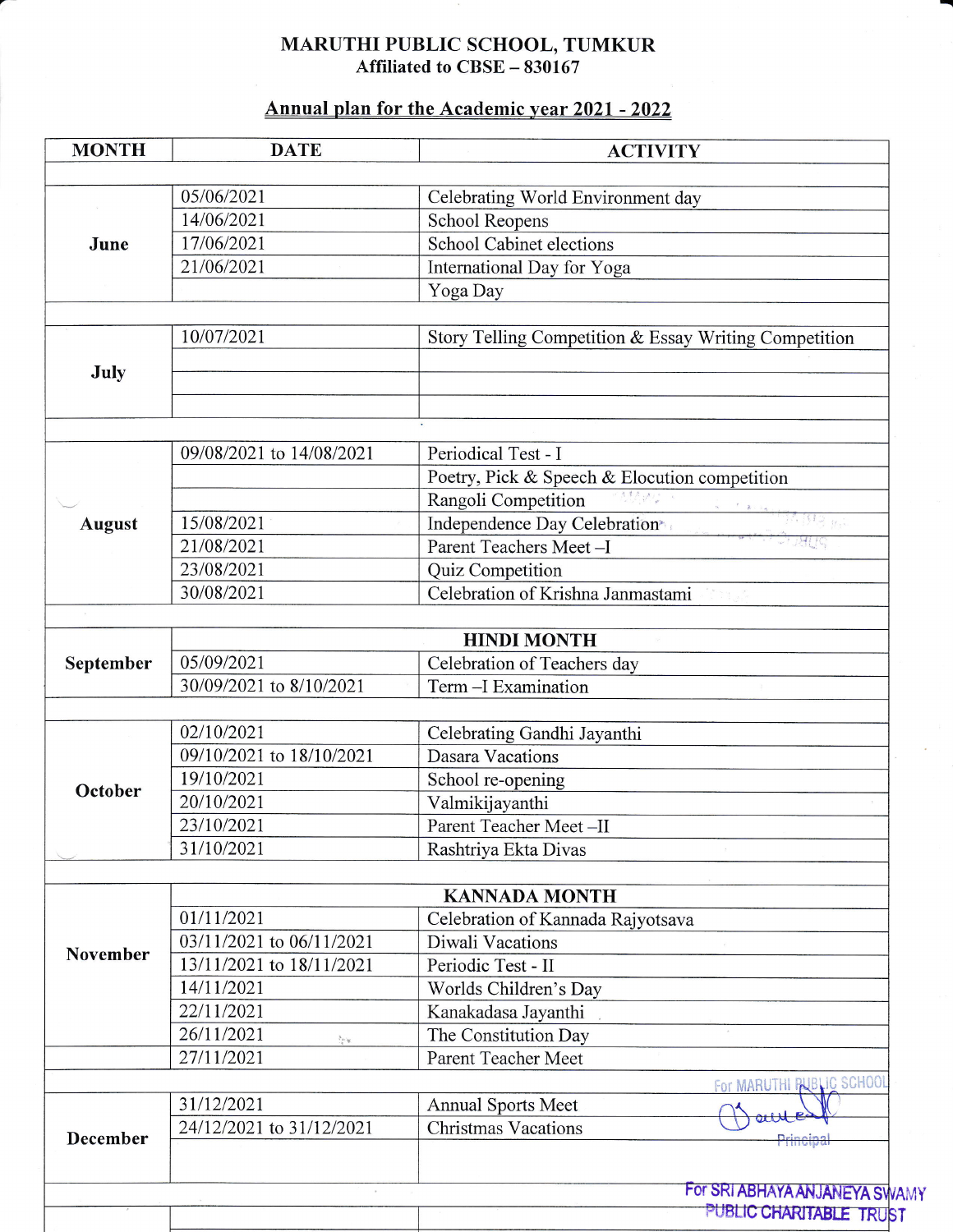## MARUTHI PUBLIC SCHOOL, TUMKUR Affiliated to CBSE – 830167

## Annual plan for the Academic year 2021 - 2022

| <b>MONTH</b>  | <b>DATE</b>                                           | <b>ACTIVITY</b>                                                                                                                                                                                                                                                                                                                                                                                                                                                                                                                                                                            |
|---------------|-------------------------------------------------------|--------------------------------------------------------------------------------------------------------------------------------------------------------------------------------------------------------------------------------------------------------------------------------------------------------------------------------------------------------------------------------------------------------------------------------------------------------------------------------------------------------------------------------------------------------------------------------------------|
|               | 05/06/2021                                            | Celebrating World Environment day                                                                                                                                                                                                                                                                                                                                                                                                                                                                                                                                                          |
|               | 14/06/2021                                            | <b>School Reopens</b>                                                                                                                                                                                                                                                                                                                                                                                                                                                                                                                                                                      |
| June          | 17/06/2021                                            | <b>School Cabinet elections</b>                                                                                                                                                                                                                                                                                                                                                                                                                                                                                                                                                            |
|               | 21/06/2021                                            | International Day for Yoga                                                                                                                                                                                                                                                                                                                                                                                                                                                                                                                                                                 |
|               |                                                       | Yoga Day                                                                                                                                                                                                                                                                                                                                                                                                                                                                                                                                                                                   |
|               |                                                       |                                                                                                                                                                                                                                                                                                                                                                                                                                                                                                                                                                                            |
|               | 10/07/2021                                            | Story Telling Competition & Essay Writing Competition                                                                                                                                                                                                                                                                                                                                                                                                                                                                                                                                      |
| July          |                                                       |                                                                                                                                                                                                                                                                                                                                                                                                                                                                                                                                                                                            |
|               |                                                       |                                                                                                                                                                                                                                                                                                                                                                                                                                                                                                                                                                                            |
|               | 09/08/2021 to 14/08/2021                              | Periodical Test - I                                                                                                                                                                                                                                                                                                                                                                                                                                                                                                                                                                        |
|               |                                                       | Poetry, Pick & Speech & Elocution competition                                                                                                                                                                                                                                                                                                                                                                                                                                                                                                                                              |
|               |                                                       | Rangoli Competition                                                                                                                                                                                                                                                                                                                                                                                                                                                                                                                                                                        |
| <b>August</b> | 15/08/2021                                            | $\begin{array}{cc} \begin{array}{cc} \begin{array}{cc} \begin{array}{cc} \begin{array}{cc} \begin{array}{cc} \begin{array}{cc} \begin{array}{cc} \end{array} & \begin{array}{c} \end{array} & \begin{array}{c} \end{array} & \begin{array}{c} \end{array} & \begin{array}{c} \end{array} & \begin{array}{c} \end{array} & \begin{array}{c} \end{array} & \begin{array}{c} \end{array} & \begin{array}{c} \end{array} & \begin{array}{c} \end{array} & \begin{array}{c} \end{array} & \begin{array}{c} \end{array} & \begin{array}{c} \end{array} & \begin$<br>Independence Day Celebration |
|               | 21/08/2021                                            | Parent Teachers Meet-I                                                                                                                                                                                                                                                                                                                                                                                                                                                                                                                                                                     |
|               | 23/08/2021                                            | Quiz Competition                                                                                                                                                                                                                                                                                                                                                                                                                                                                                                                                                                           |
|               | 30/08/2021                                            | Celebration of Krishna Janmastami                                                                                                                                                                                                                                                                                                                                                                                                                                                                                                                                                          |
|               |                                                       |                                                                                                                                                                                                                                                                                                                                                                                                                                                                                                                                                                                            |
| September     |                                                       | <b>HINDI MONTH</b>                                                                                                                                                                                                                                                                                                                                                                                                                                                                                                                                                                         |
|               | 05/09/2021                                            | Celebration of Teachers day                                                                                                                                                                                                                                                                                                                                                                                                                                                                                                                                                                |
|               | 30/09/2021 to 8/10/2021                               | Term - I Examination                                                                                                                                                                                                                                                                                                                                                                                                                                                                                                                                                                       |
|               | 02/10/2021                                            | Celebrating Gandhi Jayanthi                                                                                                                                                                                                                                                                                                                                                                                                                                                                                                                                                                |
|               | 09/10/2021 to 18/10/2021                              | <b>Dasara Vacations</b>                                                                                                                                                                                                                                                                                                                                                                                                                                                                                                                                                                    |
|               | 19/10/2021                                            | School re-opening                                                                                                                                                                                                                                                                                                                                                                                                                                                                                                                                                                          |
| October       | 20/10/2021                                            | Valmikijayanthi                                                                                                                                                                                                                                                                                                                                                                                                                                                                                                                                                                            |
|               | 23/10/2021                                            | Parent Teacher Meet-II                                                                                                                                                                                                                                                                                                                                                                                                                                                                                                                                                                     |
|               | 31/10/2021                                            | Rashtriya Ekta Divas                                                                                                                                                                                                                                                                                                                                                                                                                                                                                                                                                                       |
|               |                                                       |                                                                                                                                                                                                                                                                                                                                                                                                                                                                                                                                                                                            |
|               |                                                       | <b>KANNADA MONTH</b>                                                                                                                                                                                                                                                                                                                                                                                                                                                                                                                                                                       |
| November      | 01/11/2021                                            | Celebration of Kannada Rajyotsava                                                                                                                                                                                                                                                                                                                                                                                                                                                                                                                                                          |
|               | 03/11/2021 to 06/11/2021                              | Diwali Vacations                                                                                                                                                                                                                                                                                                                                                                                                                                                                                                                                                                           |
|               | 13/11/2021 to 18/11/2021                              | Periodic Test - II                                                                                                                                                                                                                                                                                                                                                                                                                                                                                                                                                                         |
|               | 14/11/2021                                            | Worlds Children's Day                                                                                                                                                                                                                                                                                                                                                                                                                                                                                                                                                                      |
|               | 22/11/2021                                            | Kanakadasa Jayanthi                                                                                                                                                                                                                                                                                                                                                                                                                                                                                                                                                                        |
|               | 26/11/2021<br>$\mathcal{C}^{(1)}_{\mathcal{C}^{(1)}}$ | The Constitution Day                                                                                                                                                                                                                                                                                                                                                                                                                                                                                                                                                                       |
|               | 27/11/2021                                            | <b>Parent Teacher Meet</b>                                                                                                                                                                                                                                                                                                                                                                                                                                                                                                                                                                 |
|               |                                                       | For MARUTHI PUBLIC SCHOOL                                                                                                                                                                                                                                                                                                                                                                                                                                                                                                                                                                  |
|               | 31/12/2021                                            | <b>Annual Sports Meet</b>                                                                                                                                                                                                                                                                                                                                                                                                                                                                                                                                                                  |
| December      | 24/12/2021 to 31/12/2021                              | <b>Christmas Vacations</b><br>Principal                                                                                                                                                                                                                                                                                                                                                                                                                                                                                                                                                    |
|               |                                                       | For SRI ABHAYA ANJANEYA SWAMY                                                                                                                                                                                                                                                                                                                                                                                                                                                                                                                                                              |
|               |                                                       | PUBLIC CHARITABLE TRUST                                                                                                                                                                                                                                                                                                                                                                                                                                                                                                                                                                    |